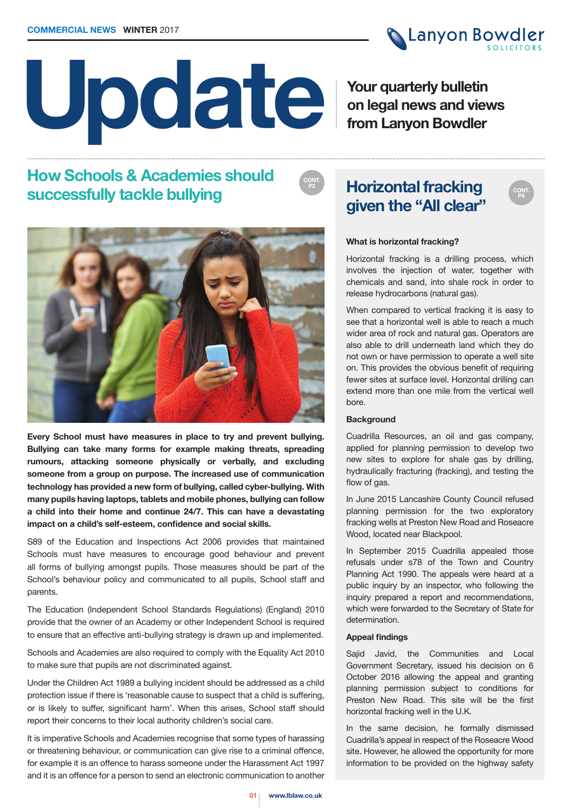# **Update**

**Your quarterly bulletin on legal news and views from Lanyon Bowdler**

**Canyon Bowdler** 

# **How Schools & Academies should successfully tackle bullying**



**Every School must have measures in place to try and prevent bullying. Bullying can take many forms for example making threats, spreading rumours, attacking someone physically or verbally, and excluding someone from a group on purpose. The increased use of communication technology has provided a new form of bullying, called cyber-bullying. With many pupils having laptops, tablets and mobile phones, bullying can follow a child into their home and continue 24/7. This can have a devastating impact on a child's self-esteem, confidence and social skills.** 

S89 of the Education and Inspections Act 2006 provides that maintained Schools must have measures to encourage good behaviour and prevent all forms of bullying amongst pupils. Those measures should be part of the School's behaviour policy and communicated to all pupils, School staff and parents.

The Education (Independent School Standards Regulations) (England) 2010 provide that the owner of an Academy or other Independent School is required to ensure that an effective anti-bullying strategy is drawn up and implemented.

Schools and Academies are also required to comply with the Equality Act 2010 to make sure that pupils are not discriminated against.

Under the Children Act 1989 a bullying incident should be addressed as a child protection issue if there is 'reasonable cause to suspect that a child is suffering, or is likely to suffer, significant harm'. When this arises, School staff should report their concerns to their local authority children's social care.

It is imperative Schools and Academies recognise that some types of harassing or threatening behaviour, or communication can give rise to a criminal offence, for example it is an offence to harass someone under the Harassment Act 1997 and it is an offence for a person to send an electronic communication to another

# **P2 Horizontal fracking given the "All clear"**



## **What is horizontal fracking?**

**CONT.** 

Horizontal fracking is a drilling process, which involves the injection of water, together with chemicals and sand, into shale rock in order to release hydrocarbons (natural gas).

When compared to vertical fracking it is easy to see that a horizontal well is able to reach a much wider area of rock and natural gas. Operators are also able to drill underneath land which they do not own or have permission to operate a well site on. This provides the obvious benefit of requiring fewer sites at surface level. Horizontal drilling can extend more than one mile from the vertical well bore.

## **Background**

Cuadrilla Resources, an oil and gas company, applied for planning permission to develop two new sites to explore for shale gas by drilling, hydraulically fracturing (fracking), and testing the flow of gas.

In June 2015 Lancashire County Council refused planning permission for the two exploratory fracking wells at Preston New Road and Roseacre Wood, located near Blackpool.

In September 2015 Cuadrilla appealed those refusals under s78 of the Town and Country Planning Act 1990. The appeals were heard at a public inquiry by an inspector, who following the inquiry prepared a report and recommendations, which were forwarded to the Secretary of State for determination.

## **Appeal findings**

Sajid Javid, the Communities and Local Government Secretary, issued his decision on 6 October 2016 allowing the appeal and granting planning permission subject to conditions for Preston New Road. This site will be the first horizontal fracking well in the U.K.

In the same decision, he formally dismissed Cuadrilla's appeal in respect of the Roseacre Wood site. However, he allowed the opportunity for more information to be provided on the highway safety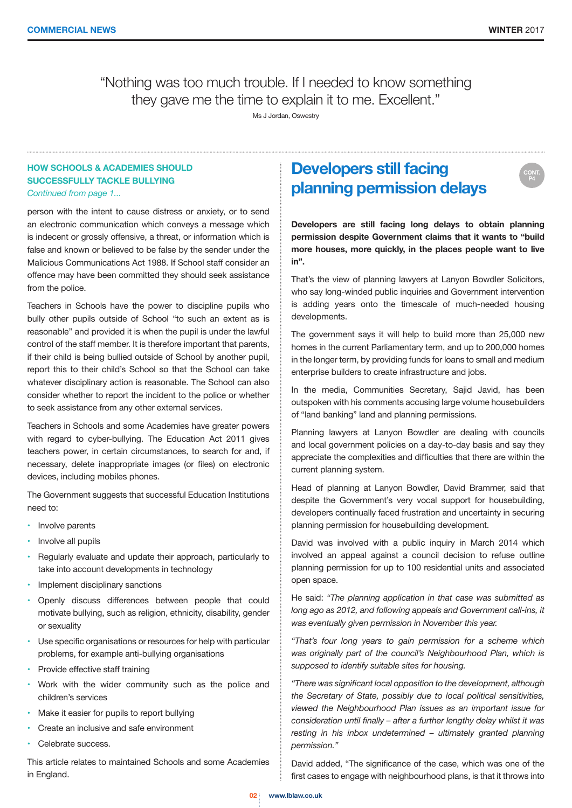**CONT. P4**

"Nothing was too much trouble. If I needed to know something they gave me the time to explain it to me. Excellent."

Ms J Jordan, Oswestry

# **HOW SCHOOLS & ACADEMIES SHOULD SUCCESSFULLY TACKLE BULLYING**

*Continued from page 1...*

person with the intent to cause distress or anxiety, or to send an electronic communication which conveys a message which is indecent or grossly offensive, a threat, or information which is false and known or believed to be false by the sender under the Malicious Communications Act 1988. If School staff consider an offence may have been committed they should seek assistance from the police.

Teachers in Schools have the power to discipline pupils who bully other pupils outside of School "to such an extent as is reasonable" and provided it is when the pupil is under the lawful control of the staff member. It is therefore important that parents, if their child is being bullied outside of School by another pupil, report this to their child's School so that the School can take whatever disciplinary action is reasonable. The School can also consider whether to report the incident to the police or whether to seek assistance from any other external services.

Teachers in Schools and some Academies have greater powers with regard to cyber-bullying. The Education Act 2011 gives teachers power, in certain circumstances, to search for and, if necessary, delete inappropriate images (or files) on electronic devices, including mobiles phones.

The Government suggests that successful Education Institutions need to:

- Involve parents
- Involve all pupils
- Regularly evaluate and update their approach, particularly to take into account developments in technology
- Implement disciplinary sanctions
- Openly discuss differences between people that could motivate bullying, such as religion, ethnicity, disability, gender or sexuality
- Use specific organisations or resources for help with particular problems, for example anti-bullying organisations
- Provide effective staff training
- Work with the wider community such as the police and children's services
- Make it easier for pupils to report bullying
- Create an inclusive and safe environment
- Celebrate success.

This article relates to maintained Schools and some Academies in England.

# **Developers still facing planning permission delays**

**Developers are still facing long delays to obtain planning permission despite Government claims that it wants to "build more houses, more quickly, in the places people want to live in".**

That's the view of planning lawyers at Lanyon Bowdler Solicitors, who say long-winded public inquiries and Government intervention is adding years onto the timescale of much-needed housing developments.

The government says it will help to build more than 25,000 new homes in the current Parliamentary term, and up to 200,000 homes in the longer term, by providing funds for loans to small and medium enterprise builders to create infrastructure and jobs.

In the media, Communities Secretary, Sajid Javid, has been outspoken with his comments accusing large volume housebuilders of "land banking" land and planning permissions.

Planning lawyers at Lanyon Bowdler are dealing with councils and local government policies on a day-to-day basis and say they appreciate the complexities and difficulties that there are within the current planning system.

Head of planning at Lanyon Bowdler, David Brammer, said that despite the Government's very vocal support for housebuilding, developers continually faced frustration and uncertainty in securing planning permission for housebuilding development.

David was involved with a public inquiry in March 2014 which involved an appeal against a council decision to refuse outline planning permission for up to 100 residential units and associated open space.

He said: *"The planning application in that case was submitted as long ago as 2012, and following appeals and Government call-ins, it was eventually given permission in November this year.*

*"That's four long years to gain permission for a scheme which*  was originally part of the council's Neighbourhood Plan, which is *supposed to identify suitable sites for housing.*

*"There was significant local opposition to the development, although the Secretary of State, possibly due to local political sensitivities, viewed the Neighbourhood Plan issues as an important issue for consideration until finally – after a further lengthy delay whilst it was resting in his inbox undetermined – ultimately granted planning permission."*

David added, "The significance of the case, which was one of the first cases to engage with neighbourhood plans, is that it throws into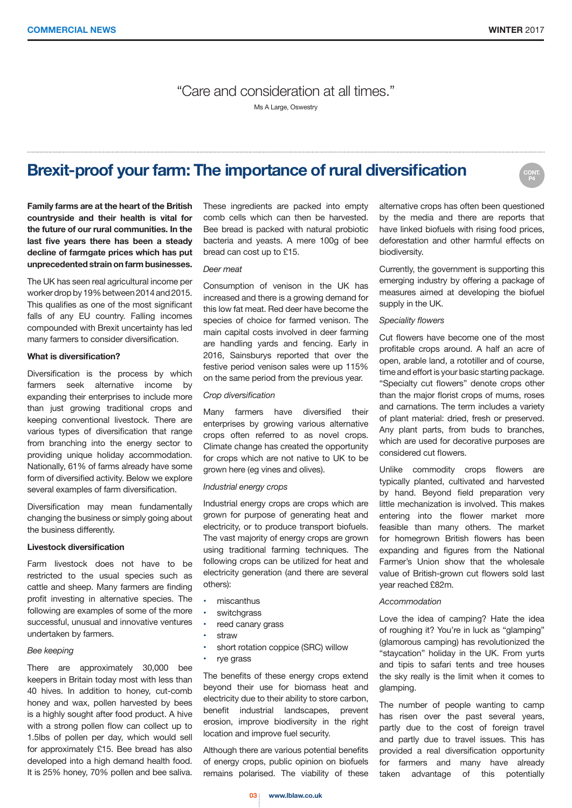**P4**

"Care and consideration at all times."

Ms A Large, Oswestry

# **Brexit-proof your farm: The importance of rural diversification**

**Family farms are at the heart of the British countryside and their health is vital for the future of our rural communities. In the last five years there has been a steady decline of farmgate prices which has put unprecedented strain on farm businesses.**

The UK has seen real agricultural income per worker drop by 19% between 2014 and 2015. This qualifies as one of the most significant falls of any EU country. Falling incomes compounded with Brexit uncertainty has led many farmers to consider diversification.

## **What is diversification?**

Diversification is the process by which farmers seek alternative income by expanding their enterprises to include more than just growing traditional crops and keeping conventional livestock. There are various types of diversification that range from branching into the energy sector to providing unique holiday accommodation. Nationally, 61% of farms already have some form of diversified activity. Below we explore several examples of farm diversification.

Diversification may mean fundamentally changing the business or simply going about the business differently.

#### **Livestock diversification**

Farm livestock does not have to be restricted to the usual species such as cattle and sheep. Many farmers are finding profit investing in alternative species. The following are examples of some of the more successful, unusual and innovative ventures undertaken by farmers.

#### *Bee keeping*

There are approximately 30,000 bee keepers in Britain today most with less than 40 hives. In addition to honey, cut-comb honey and wax, pollen harvested by bees is a highly sought after food product. A hive with a strong pollen flow can collect up to 1.5lbs of pollen per day, which would sell for approximately £15. Bee bread has also developed into a high demand health food. It is 25% honey, 70% pollen and bee saliva. These ingredients are packed into empty comb cells which can then be harvested. Bee bread is packed with natural probiotic bacteria and yeasts. A mere 100g of bee bread can cost up to £15.

#### *Deer meat*

Consumption of venison in the UK has increased and there is a growing demand for this low fat meat. Red deer have become the species of choice for farmed venison. The main capital costs involved in deer farming are handling yards and fencing. Early in 2016, Sainsburys reported that over the festive period venison sales were up 115% on the same period from the previous year.

#### *Crop diversification*

Many farmers have diversified their enterprises by growing various alternative crops often referred to as novel crops. Climate change has created the opportunity for crops which are not native to UK to be grown here (eg vines and olives).

#### *Industrial energy crops*

Industrial energy crops are crops which are grown for purpose of generating heat and electricity, or to produce transport biofuels. The vast majority of energy crops are grown using traditional farming techniques. The following crops can be utilized for heat and electricity generation (and there are several others):

- miscanthus
- switchgrass
- reed canary grass
- **straw**
- short rotation coppice (SRC) willow
- rye grass

The benefits of these energy crops extend beyond their use for biomass heat and electricity due to their ability to store carbon, benefit industrial landscapes, prevent erosion, improve biodiversity in the right location and improve fuel security.

Although there are various potential benefits of energy crops, public opinion on biofuels remains polarised. The viability of these alternative crops has often been questioned by the media and there are reports that have linked biofuels with rising food prices, deforestation and other harmful effects on biodiversity.

Currently, the government is supporting this emerging industry by offering a package of measures aimed at developing the biofuel supply in the UK.

### *Speciality flowers*

Cut flowers have become one of the most profitable crops around. A half an acre of open, arable land, a rototiller and of course, time and effort is your basic starting package. "Specialty cut flowers" denote crops other than the major florist crops of mums, roses and carnations. The term includes a variety of plant material: dried, fresh or preserved. Any plant parts, from buds to branches, which are used for decorative purposes are considered cut flowers.

Unlike commodity crops flowers are typically planted, cultivated and harvested by hand. Beyond field preparation very little mechanization is involved. This makes entering into the flower market more feasible than many others. The market for homegrown British flowers has been expanding and figures from the National Farmer's Union show that the wholesale value of British-grown cut flowers sold last year reached £82m.

#### *Accommodation*

Love the idea of camping? Hate the idea of roughing it? You're in luck as "glamping" (glamorous camping) has revolutionized the "staycation" holiday in the UK. From yurts and tipis to safari tents and tree houses the sky really is the limit when it comes to glamping.

The number of people wanting to camp has risen over the past several years, partly due to the cost of foreign travel and partly due to travel issues. This has provided a real diversification opportunity for farmers and many have already taken advantage of this potentially